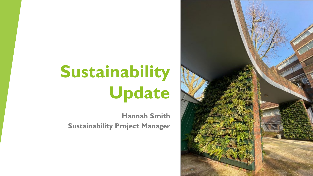# **Sustainability Update**

**Hannah Smith Sustainability Project Manager**

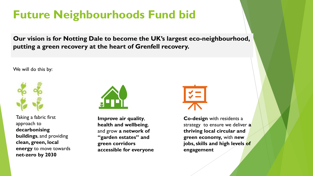#### **Future Neighbourhoods Fund bid**

**Our vision is for Notting Dale to become the UK's largest eco-neighbourhood, putting a green recovery at the heart of Grenfell recovery.** 

We will do this by:



Taking a fabric first approach to **decarbonising buildings**, and providing **clean, green, local energy** to move towards **net-zero by 2030**



**Improve air quality**, **health and wellbeing**, and grow **a network of "garden estates" and green corridors accessible for everyone**



**Co-design** with residents a strategy to ensure we deliver **a thriving local circular and green economy,** with **new jobs, skills and high levels of engagement**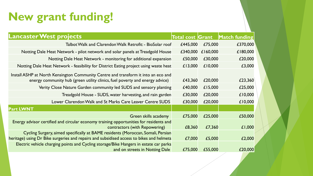### **New grant funding!**

| <b>Lancaster West projects</b>                                                                                                                                               |          |          | Total cost Grant Match funding |
|------------------------------------------------------------------------------------------------------------------------------------------------------------------------------|----------|----------|--------------------------------|
| Talbot Walk and Clarendon Walk Retrofit: - BioSolar roof                                                                                                                     | £445,000 | £75,000  | £370,000                       |
| Notting Dale Heat Network - pilot network and solar panels at Treadgold House                                                                                                | £340,000 | £160,000 | £180,000                       |
| Notting Dale Heat Network - monitoring for additional expansion                                                                                                              | £50,000  | £30,000  | £20,000                        |
| Notting Dale Heat Network - feasibility for District Eating project using waste heat                                                                                         | £13,000  | £10,000  | £3,000                         |
| Install ASHP at North Kensington Community Centre and transform it into an eco and<br>energy community hub (green utility clinics, fuel poverty and energy advice)           | £43,360  | £20,000  | £23,360                        |
| Verity Close Nature Garden community led SUDS and sensory planting                                                                                                           | £40,000  | £15,000  | £25,000                        |
| Treadgold House - SUDS, water harvesting, and rain garden                                                                                                                    | £30,000  | £20,000  | £10,000                        |
| Lower Clarendon Walk and St Marks Care Leaver Centre SUDS                                                                                                                    | £30,000  | £20,000  | £10,000                        |
| <b>Part LWNT</b>                                                                                                                                                             |          |          |                                |
| Green skills academy                                                                                                                                                         | £75,000  | £25,000  | £50,000                        |
| Energy advisor certified and circular economy training opportunities for residents and<br>contractors (with Repowering)                                                      | £8,360   | £7,360   | £1,000                         |
| Cycling Surgery, aimed specifically at BAME residents (Moroccan, Somali, Persian<br>heritage) using Dr Bike surgeries and repairs and subsidised access to bikes and helmets | £7,000   | £5,000   | £2,000                         |
| Electric vehicle charging points and Cycling storage/Bike Hangers in estate car parks<br>and on streets in Notting Dale                                                      | £75,000  | £55,000  | £20,000                        |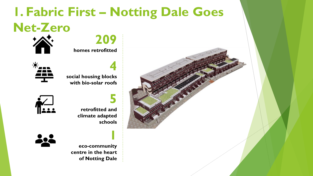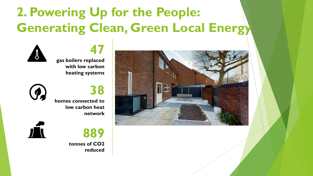# **2. Powering Up for the People: Generating Clean, Green Local Energy**

**47 gas boilers replaced with low carbon heating systems**

**38 homes connected to low carbon heat network**

**889**

**reduced**

**tonnes of CO2** 



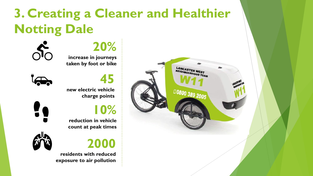# **3. Creating a Cleaner and Healthier Notting Dale**

**20% increase in journeys taken by foot or bike**



50

**45**

**new electric vehicle charge points**

**10%** 

**reduction in vehicle count at peak times**





**residents with reduced exposure to air pollution**

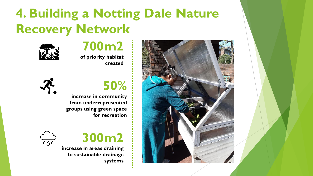# **4. Building a Notting Dale Nature Recovery Network**



#### **700m2 of priority habitat created**





**increase in community from underrepresented groups using green space for recreation**





**increase in areas draining to sustainable drainage systems**

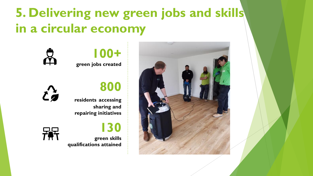# **5. Delivering new green jobs and skills in a circular economy**







#### **800**

**130**

**residents accessing sharing and repairing initiatives**



**green skills qualifications attained**